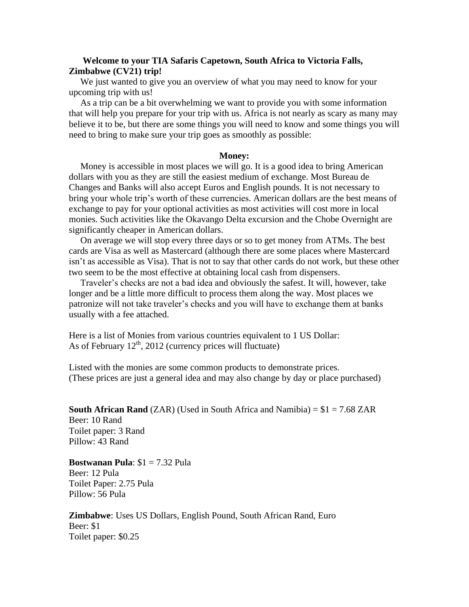# **Welcome to your TIA Safaris Capetown, South Africa to Victoria Falls, Zimbabwe (CV21) trip!**

 We just wanted to give you an overview of what you may need to know for your upcoming trip with us!

 As a trip can be a bit overwhelming we want to provide you with some information that will help you prepare for your trip with us. Africa is not nearly as scary as many may believe it to be, but there are some things you will need to know and some things you will need to bring to make sure your trip goes as smoothly as possible:

#### **Money:**

 Money is accessible in most places we will go. It is a good idea to bring American dollars with you as they are still the easiest medium of exchange. Most Bureau de Changes and Banks will also accept Euros and English pounds. It is not necessary to bring your whole trip's worth of these currencies. American dollars are the best means of exchange to pay for your optional activities as most activities will cost more in local monies. Such activities like the Okavango Delta excursion and the Chobe Overnight are significantly cheaper in American dollars.

 On average we will stop every three days or so to get money from ATMs. The best cards are Visa as well as Mastercard (although there are some places where Mastercard isn't as accessible as Visa). That is not to say that other cards do not work, but these other two seem to be the most effective at obtaining local cash from dispensers.

 Traveler's checks are not a bad idea and obviously the safest. It will, however, take longer and be a little more difficult to process them along the way. Most places we patronize will not take traveler's checks and you will have to exchange them at banks usually with a fee attached.

Here is a list of Monies from various countries equivalent to 1 US Dollar: As of February  $12<sup>th</sup>$ , 2012 (currency prices will fluctuate)

Listed with the monies are some common products to demonstrate prices. (These prices are just a general idea and may also change by day or place purchased)

**South African Rand** (ZAR) (Used in South Africa and Namibia)  $= $1 = 7.68$  ZAR Beer: 10 Rand Toilet paper: 3 Rand Pillow: 43 Rand

**Bostwanan Pula**: \$1 = 7.32 Pula Beer: 12 Pula Toilet Paper: 2.75 Pula Pillow: 56 Pula

**Zimbabwe**: Uses US Dollars, English Pound, South African Rand, Euro Beer: \$1 Toilet paper: \$0.25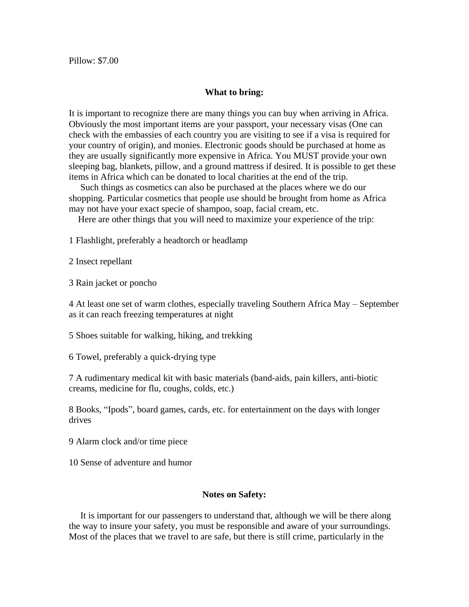### **What to bring:**

It is important to recognize there are many things you can buy when arriving in Africa. Obviously the most important items are your passport, your necessary visas (One can check with the embassies of each country you are visiting to see if a visa is required for your country of origin), and monies. Electronic goods should be purchased at home as they are usually significantly more expensive in Africa. You MUST provide your own sleeping bag, blankets, pillow, and a ground mattress if desired. It is possible to get these items in Africa which can be donated to local charities at the end of the trip.

 Such things as cosmetics can also be purchased at the places where we do our shopping. Particular cosmetics that people use should be brought from home as Africa may not have your exact specie of shampoo, soap, facial cream, etc.

Here are other things that you will need to maximize your experience of the trip:

1 Flashlight, preferably a headtorch or headlamp

2 Insect repellant

3 Rain jacket or poncho

4 At least one set of warm clothes, especially traveling Southern Africa May – September as it can reach freezing temperatures at night

5 Shoes suitable for walking, hiking, and trekking

6 Towel, preferably a quick-drying type

7 A rudimentary medical kit with basic materials (band-aids, pain killers, anti-biotic creams, medicine for flu, coughs, colds, etc.)

8 Books, "Ipods", board games, cards, etc. for entertainment on the days with longer drives

- 9 Alarm clock and/or time piece
- 10 Sense of adventure and humor

### **Notes on Safety:**

 It is important for our passengers to understand that, although we will be there along the way to insure your safety, you must be responsible and aware of your surroundings. Most of the places that we travel to are safe, but there is still crime, particularly in the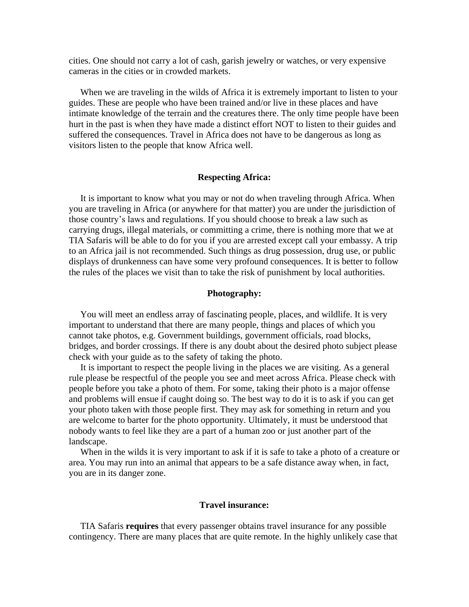cities. One should not carry a lot of cash, garish jewelry or watches, or very expensive cameras in the cities or in crowded markets.

 When we are traveling in the wilds of Africa it is extremely important to listen to your guides. These are people who have been trained and/or live in these places and have intimate knowledge of the terrain and the creatures there. The only time people have been hurt in the past is when they have made a distinct effort NOT to listen to their guides and suffered the consequences. Travel in Africa does not have to be dangerous as long as visitors listen to the people that know Africa well.

## **Respecting Africa:**

 It is important to know what you may or not do when traveling through Africa. When you are traveling in Africa (or anywhere for that matter) you are under the jurisdiction of those country's laws and regulations. If you should choose to break a law such as carrying drugs, illegal materials, or committing a crime, there is nothing more that we at TIA Safaris will be able to do for you if you are arrested except call your embassy. A trip to an Africa jail is not recommended. Such things as drug possession, drug use, or public displays of drunkenness can have some very profound consequences. It is better to follow the rules of the places we visit than to take the risk of punishment by local authorities.

#### **Photography:**

 You will meet an endless array of fascinating people, places, and wildlife. It is very important to understand that there are many people, things and places of which you cannot take photos, e.g. Government buildings, government officials, road blocks, bridges, and border crossings. If there is any doubt about the desired photo subject please check with your guide as to the safety of taking the photo.

 It is important to respect the people living in the places we are visiting. As a general rule please be respectful of the people you see and meet across Africa. Please check with people before you take a photo of them. For some, taking their photo is a major offense and problems will ensue if caught doing so. The best way to do it is to ask if you can get your photo taken with those people first. They may ask for something in return and you are welcome to barter for the photo opportunity. Ultimately, it must be understood that nobody wants to feel like they are a part of a human zoo or just another part of the landscape.

 When in the wilds it is very important to ask if it is safe to take a photo of a creature or area. You may run into an animal that appears to be a safe distance away when, in fact, you are in its danger zone.

### **Travel insurance:**

 TIA Safaris **requires** that every passenger obtains travel insurance for any possible contingency. There are many places that are quite remote. In the highly unlikely case that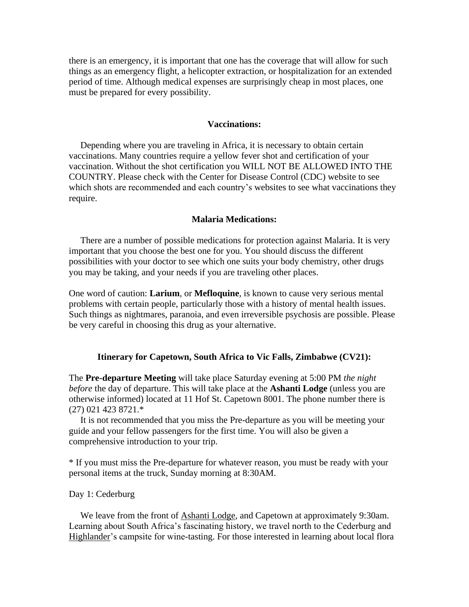there is an emergency, it is important that one has the coverage that will allow for such things as an emergency flight, a helicopter extraction, or hospitalization for an extended period of time. Although medical expenses are surprisingly cheap in most places, one must be prepared for every possibility.

### **Vaccinations:**

 Depending where you are traveling in Africa, it is necessary to obtain certain vaccinations. Many countries require a yellow fever shot and certification of your vaccination. Without the shot certification you WILL NOT BE ALLOWED INTO THE COUNTRY. Please check with the Center for Disease Control (CDC) website to see which shots are recommended and each country's websites to see what vaccinations they require.

### **Malaria Medications:**

 There are a number of possible medications for protection against Malaria. It is very important that you choose the best one for you. You should discuss the different possibilities with your doctor to see which one suits your body chemistry, other drugs you may be taking, and your needs if you are traveling other places.

One word of caution: **Larium**, or **Mefloquine**, is known to cause very serious mental problems with certain people, particularly those with a history of mental health issues. Such things as nightmares, paranoia, and even irreversible psychosis are possible. Please be very careful in choosing this drug as your alternative.

### **Itinerary for Capetown, South Africa to Vic Falls, Zimbabwe (CV21):**

The **Pre-departure Meeting** will take place Saturday evening at 5:00 PM *the night before* the day of departure. This will take place at the **Ashanti Lodge** (unless you are otherwise informed) located at 11 Hof St. Capetown 8001. The phone number there is (27) 021 423 8721.\*

 It is not recommended that you miss the Pre-departure as you will be meeting your guide and your fellow passengers for the first time. You will also be given a comprehensive introduction to your trip.

\* If you must miss the Pre-departure for whatever reason, you must be ready with your personal items at the truck, Sunday morning at 8:30AM.

## Day 1: Cederburg

 We leave from the front of Ashanti Lodge, and Capetown at approximately 9:30am. Learning about South Africa's fascinating history, we travel north to the Cederburg and Highlander's campsite for wine-tasting. For those interested in learning about local flora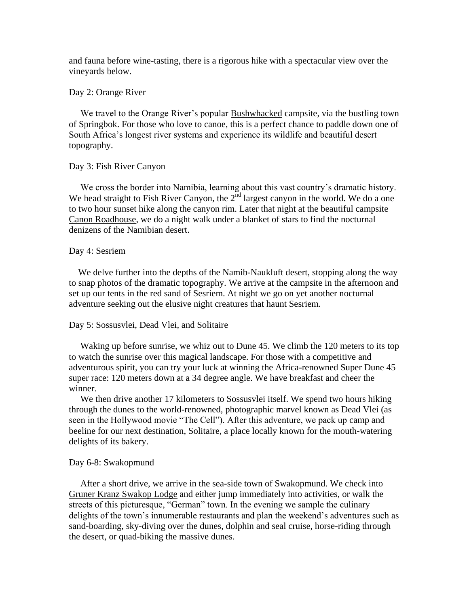and fauna before wine-tasting, there is a rigorous hike with a spectacular view over the vineyards below.

## Day 2: Orange River

We travel to the Orange River's popular **Bushwhacked** campsite, via the bustling town of Springbok. For those who love to canoe, this is a perfect chance to paddle down one of South Africa's longest river systems and experience its wildlife and beautiful desert topography.

## Day 3: Fish River Canyon

 We cross the border into Namibia, learning about this vast country's dramatic history. We head straight to Fish River Canyon, the  $2^{\overline{n}d}$  largest canyon in the world. We do a one to two hour sunset hike along the canyon rim. Later that night at the beautiful campsite Canon Roadhouse, we do a night walk under a blanket of stars to find the nocturnal denizens of the Namibian desert.

#### Day 4: Sesriem

We delve further into the depths of the Namib-Naukluft desert, stopping along the way to snap photos of the dramatic topography. We arrive at the campsite in the afternoon and set up our tents in the red sand of Sesriem. At night we go on yet another nocturnal adventure seeking out the elusive night creatures that haunt Sesriem.

### Day 5: Sossusvlei, Dead Vlei, and Solitaire

 Waking up before sunrise, we whiz out to Dune 45. We climb the 120 meters to its top to watch the sunrise over this magical landscape. For those with a competitive and adventurous spirit, you can try your luck at winning the Africa-renowned Super Dune 45 super race: 120 meters down at a 34 degree angle. We have breakfast and cheer the winner.

We then drive another 17 kilometers to Sossusvlei itself. We spend two hours hiking through the dunes to the world-renowned, photographic marvel known as Dead Vlei (as seen in the Hollywood movie "The Cell"). After this adventure, we pack up camp and beeline for our next destination, Solitaire, a place locally known for the mouth-watering delights of its bakery.

#### Day 6-8: Swakopmund

 After a short drive, we arrive in the sea-side town of Swakopmund. We check into Gruner Kranz Swakop Lodge and either jump immediately into activities, or walk the streets of this picturesque, "German" town. In the evening we sample the culinary delights of the town's innumerable restaurants and plan the weekend's adventures such as sand-boarding, sky-diving over the dunes, dolphin and seal cruise, horse-riding through the desert, or quad-biking the massive dunes.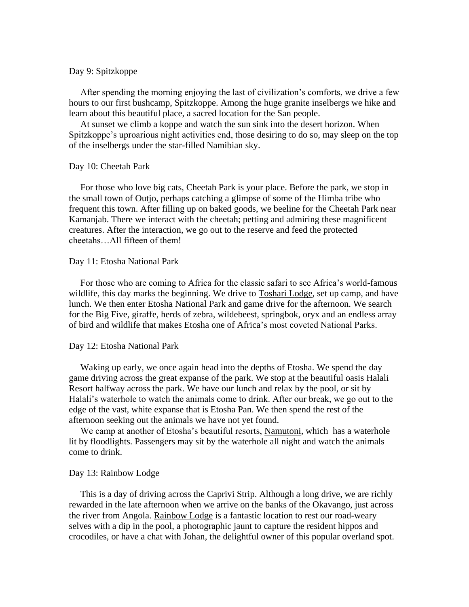## Day 9: Spitzkoppe

 After spending the morning enjoying the last of civilization's comforts, we drive a few hours to our first bushcamp, Spitzkoppe. Among the huge granite inselbergs we hike and learn about this beautiful place, a sacred location for the San people.

 At sunset we climb a koppe and watch the sun sink into the desert horizon. When Spitzkoppe's uproarious night activities end, those desiring to do so, may sleep on the top of the inselbergs under the star-filled Namibian sky.

#### Day 10: Cheetah Park

 For those who love big cats, Cheetah Park is your place. Before the park, we stop in the small town of Outjo, perhaps catching a glimpse of some of the Himba tribe who frequent this town. After filling up on baked goods, we beeline for the Cheetah Park near Kamanjab. There we interact with the cheetah; petting and admiring these magnificent creatures. After the interaction, we go out to the reserve and feed the protected cheetahs…All fifteen of them!

## Day 11: Etosha National Park

 For those who are coming to Africa for the classic safari to see Africa's world-famous wildlife, this day marks the beginning. We drive to Toshari Lodge, set up camp, and have lunch. We then enter Etosha National Park and game drive for the afternoon. We search for the Big Five, giraffe, herds of zebra, wildebeest, springbok, oryx and an endless array of bird and wildlife that makes Etosha one of Africa's most coveted National Parks.

#### Day 12: Etosha National Park

 Waking up early, we once again head into the depths of Etosha. We spend the day game driving across the great expanse of the park. We stop at the beautiful oasis Halali Resort halfway across the park. We have our lunch and relax by the pool, or sit by Halali's waterhole to watch the animals come to drink. After our break, we go out to the edge of the vast, white expanse that is Etosha Pan. We then spend the rest of the afternoon seeking out the animals we have not yet found.

 We camp at another of Etosha's beautiful resorts, Namutoni, which has a waterhole lit by floodlights. Passengers may sit by the waterhole all night and watch the animals come to drink.

### Day 13: Rainbow Lodge

 This is a day of driving across the Caprivi Strip. Although a long drive, we are richly rewarded in the late afternoon when we arrive on the banks of the Okavango, just across the river from Angola. Rainbow Lodge is a fantastic location to rest our road-weary selves with a dip in the pool, a photographic jaunt to capture the resident hippos and crocodiles, or have a chat with Johan, the delightful owner of this popular overland spot.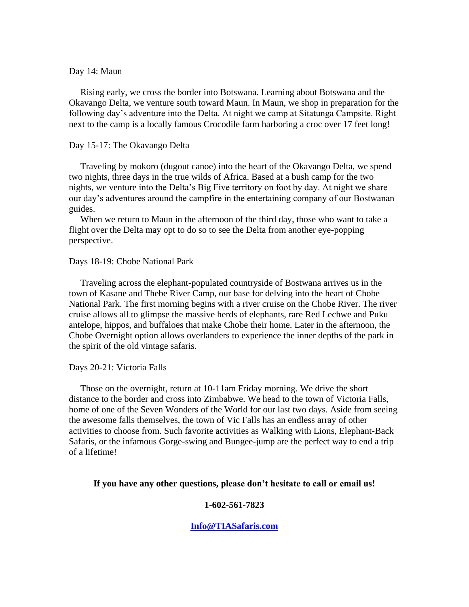## Day 14: Maun

 Rising early, we cross the border into Botswana. Learning about Botswana and the Okavango Delta, we venture south toward Maun. In Maun, we shop in preparation for the following day's adventure into the Delta. At night we camp at Sitatunga Campsite. Right next to the camp is a locally famous Crocodile farm harboring a croc over 17 feet long!

### Day 15-17: The Okavango Delta

 Traveling by mokoro (dugout canoe) into the heart of the Okavango Delta, we spend two nights, three days in the true wilds of Africa. Based at a bush camp for the two nights, we venture into the Delta's Big Five territory on foot by day. At night we share our day's adventures around the campfire in the entertaining company of our Bostwanan guides.

 When we return to Maun in the afternoon of the third day, those who want to take a flight over the Delta may opt to do so to see the Delta from another eye-popping perspective.

### Days 18-19: Chobe National Park

 Traveling across the elephant-populated countryside of Bostwana arrives us in the town of Kasane and Thebe River Camp, our base for delving into the heart of Chobe National Park. The first morning begins with a river cruise on the Chobe River. The river cruise allows all to glimpse the massive herds of elephants, rare Red Lechwe and Puku antelope, hippos, and buffaloes that make Chobe their home. Later in the afternoon, the Chobe Overnight option allows overlanders to experience the inner depths of the park in the spirit of the old vintage safaris.

### Days 20-21: Victoria Falls

 Those on the overnight, return at 10-11am Friday morning. We drive the short distance to the border and cross into Zimbabwe. We head to the town of Victoria Falls, home of one of the Seven Wonders of the World for our last two days. Aside from seeing the awesome falls themselves, the town of Vic Falls has an endless array of other activities to choose from. Such favorite activities as Walking with Lions, Elephant-Back Safaris, or the infamous Gorge-swing and Bungee-jump are the perfect way to end a trip of a lifetime!

### **If you have any other questions, please don't hesitate to call or email us!**

## **1-602-561-7823**

### **[Info@TIASafaris.com](mailto:Info@TIASafaris.com)**